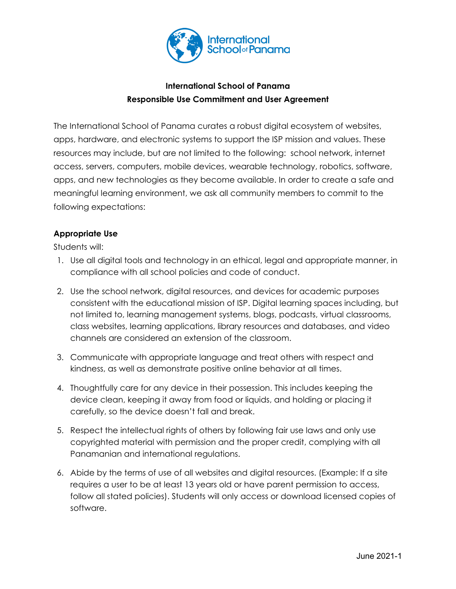

# **International School of Panama Responsible Use Commitment and User Agreement**

The International School of Panama curates a robust digital ecosystem of websites, apps, hardware, and electronic systems to support the ISP mission and values. These resources may include, but are not limited to the following: school network, internet access, servers, computers, mobile devices, wearable technology, robotics, software, apps, and new technologies as they become available. In order to create a safe and meaningful learning environment, we ask all community members to commit to the following expectations:

# **Appropriate Use**

Students will:

- 1. Use all digital tools and technology in an ethical, legal and appropriate manner, in compliance with all school policies and code of conduct.
- 2. Use the school network, digital resources, and devices for academic purposes consistent with the educational mission of ISP. Digital learning spaces including, but not limited to, learning management systems, blogs, podcasts, virtual classrooms, class websites, learning applications, library resources and databases, and video channels are considered an extension of the classroom.
- 3. Communicate with appropriate language and treat others with respect and kindness, as well as demonstrate positive online behavior at all times.
- 4. Thoughtfully care for any device in their possession. This includes keeping the device clean, keeping it away from food or liquids, and holding or placing it carefully, so the device doesn't fall and break.
- 5. Respect the intellectual rights of others by following fair use laws and only use copyrighted material with permission and the proper credit, complying with all Panamanian and international regulations.
- 6. Abide by the terms of use of all websites and digital resources. (Example: If a site requires a user to be at least 13 years old or have parent permission to access, follow all stated policies). Students will only access or download licensed copies of software.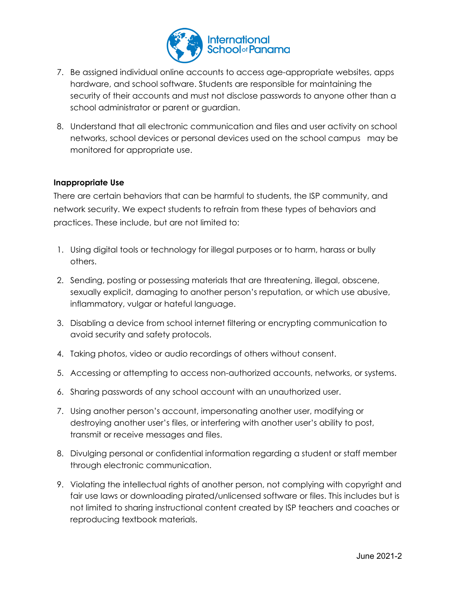

- 7. Be assigned individual online accounts to access age-appropriate websites, apps hardware, and school software. Students are responsible for maintaining the security of their accounts and must not disclose passwords to anyone other than a school administrator or parent or guardian.
- 8. Understand that all electronic communication and files and user activity on school networks, school devices or personal devices used on the school campus may be monitored for appropriate use.

# **Inappropriate Use**

There are certain behaviors that can be harmful to students, the ISP community, and network security. We expect students to refrain from these types of behaviors and practices. These include, but are not limited to:

- 1. Using digital tools or technology for illegal purposes or to harm, harass or bully others.
- 2. Sending, posting or possessing materials that are threatening, illegal, obscene, sexually explicit, damaging to another person's reputation, or which use abusive, inflammatory, vulgar or hateful language.
- 3. Disabling a device from school internet filtering or encrypting communication to avoid security and safety protocols.
- 4. Taking photos, video or audio recordings of others without consent.
- 5. Accessing or attempting to access non-authorized accounts, networks, or systems.
- 6. Sharing passwords of any school account with an unauthorized user.
- 7. Using another person's account, impersonating another user, modifying or destroying another user's files, or interfering with another user's ability to post, transmit or receive messages and files.
- 8. Divulging personal or confidential information regarding a student or staff member through electronic communication.
- 9. Violating the intellectual rights of another person, not complying with copyright and fair use laws or downloading pirated/unlicensed software or files. This includes but is not limited to sharing instructional content created by ISP teachers and coaches or reproducing textbook materials.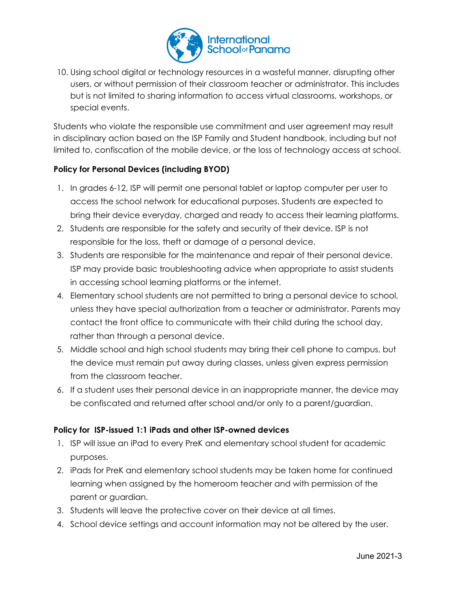

10. Using school digital or technology resources in a wasteful manner, disrupting other users, or without permission of their classroom teacher or administrator. This includes but is not limited to sharing information to access virtual classrooms, workshops, or special events.

Students who violate the responsible use commitment and user agreement may result in disciplinary action based on the ISP Family and Student handbook, including but not limited to, confiscation of the mobile device, or the loss of technology access at school.

# **Policy for Personal Devices (including BYOD)**

- 1. In grades 6-12, ISP will permit one personal tablet or laptop computer per user to access the school network for educational purposes. Students are expected to bring their device everyday, charged and ready to access their learning platforms.
- 2. Students are responsible for the safety and security of their device. ISP is not responsible for the loss, theft or damage of a personal device.
- 3. Students are responsible for the maintenance and repair of their personal device. ISP may provide basic troubleshooting advice when appropriate to assist students in accessing school learning platforms or the internet.
- 4. Elementary school students are not permitted to bring a personal device to school, unless they have special authorization from a teacher or administrator. Parents may contact the front office to communicate with their child during the school day, rather than through a personal device.
- 5. Middle school and high school students may bring their cell phone to campus, but the device must remain put away during classes, unless given express permission from the classroom teacher.
- 6. If a student uses their personal device in an inappropriate manner, the device may be confiscated and returned after school and/or only to a parent/guardian.

# **Policy for ISP-issued 1:1 iPads and other ISP-owned devices**

- 1. ISP will issue an iPad to every PreK and elementary school student for academic purposes.
- 2. iPads for PreK and elementary school students may be taken home for continued learning when assigned by the homeroom teacher and with permission of the parent or guardian.
- 3. Students will leave the protective cover on their device at all times.
- 4. School device settings and account information may not be altered by the user.